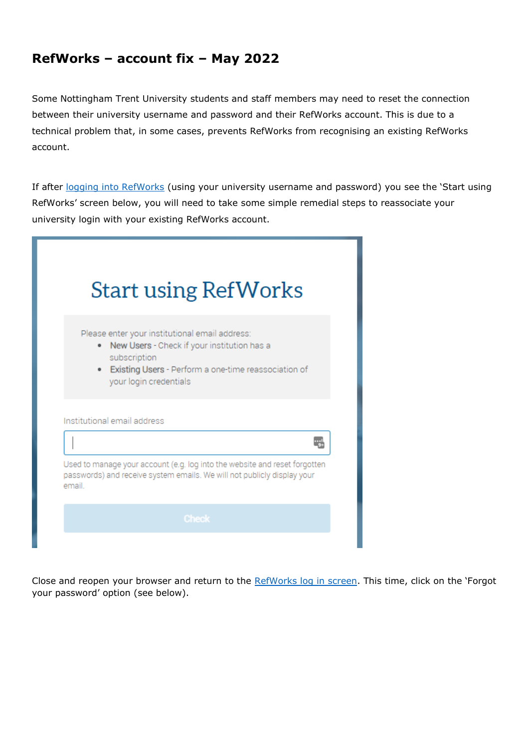## **RefWorks – account fix – May 2022**

Some Nottingham Trent University students and staff members may need to reset the connection between their university username and password and their RefWorks account. This is due to a technical problem that, in some cases, prevents RefWorks from recognising an existing RefWorks account.

If after [logging into RefWorks](https://shibboleth.refworks.proquest.com/authenticate?provider=https://shib2idp.ntu.ac.uk/idp/shibboleth) (using your university username and password) you see the 'Start using RefWorks' screen below, you will need to take some simple remedial steps to reassociate your university login with your existing RefWorks account.

|       | <b>Start using RefWorks</b>                                                                                                                                                                       |
|-------|---------------------------------------------------------------------------------------------------------------------------------------------------------------------------------------------------|
|       | Please enter your institutional email address:<br>New Users - Check if your institution has a<br>subscription<br>• Existing Users - Perform a one-time reassociation of<br>your login credentials |
|       | Institutional email address                                                                                                                                                                       |
|       |                                                                                                                                                                                                   |
|       |                                                                                                                                                                                                   |
| email | Used to manage your account (e.g. log into the website and reset forgotten<br>passwords) and receive system emails. We will not publicly display your                                             |

Close and reopen your browser and return to the [RefWorks log](https://refworks.proquest.com/) in screen. This time, click on the 'Forgot your password' option (see below).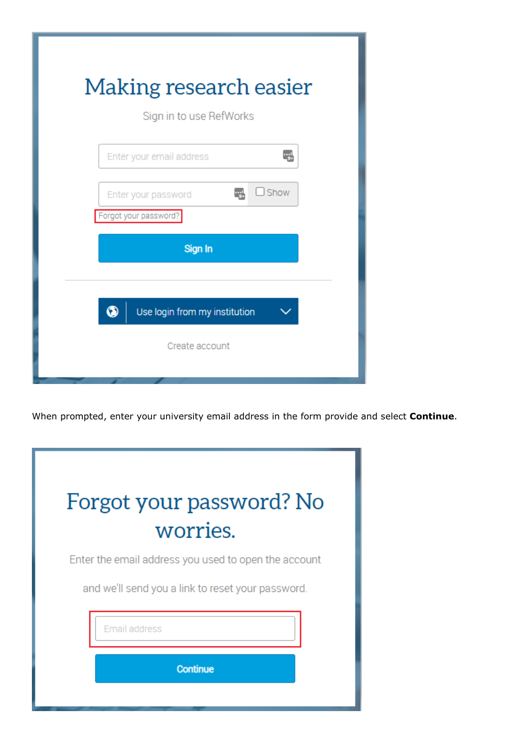| Making research easier<br>Sign in to use RefWorks                  |  |  |  |  |
|--------------------------------------------------------------------|--|--|--|--|
| Enter your email address                                           |  |  |  |  |
| $\Box$ Show<br>ارب<br>Enter your password<br>Forgot your password? |  |  |  |  |
| Sign In                                                            |  |  |  |  |
|                                                                    |  |  |  |  |
| 6<br>Use login from my institution                                 |  |  |  |  |
| Create account                                                     |  |  |  |  |
|                                                                    |  |  |  |  |

When prompted, enter your university email address in the form provide and select **Continue**.

| Forgot your password? No<br>worries.                 |  |  |  |  |
|------------------------------------------------------|--|--|--|--|
| Enter the email address you used to open the account |  |  |  |  |
| and we'll send you a link to reset your password.    |  |  |  |  |
| <b>Email address</b>                                 |  |  |  |  |
| <b>Continue</b>                                      |  |  |  |  |
|                                                      |  |  |  |  |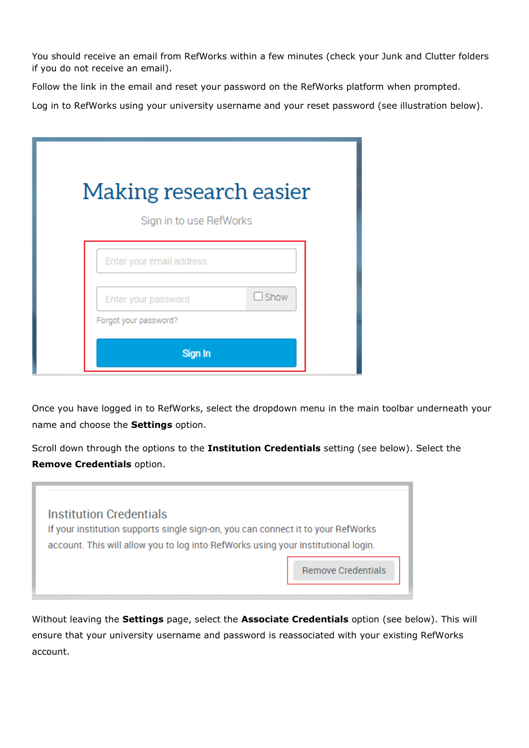You should receive an email from RefWorks within a few minutes (check your Junk and Clutter folders if you do not receive an email).

Follow the link in the email and reset your password on the RefWorks platform when prompted.

Log in to RefWorks using your university username and your reset password (see illustration below).

| Making research easier<br>Sign in to use RefWorks |                                              |             |  |  |
|---------------------------------------------------|----------------------------------------------|-------------|--|--|
|                                                   | Enter your email address                     |             |  |  |
|                                                   | Enter your password<br>Forgot your password? | $\Box$ Show |  |  |
|                                                   | Sign In                                      |             |  |  |

Once you have logged in to RefWorks, select the dropdown menu in the main toolbar underneath your name and choose the **Settings** option.

Scroll down through the options to the **Institution Credentials** setting (see below). Select the **Remove Credentials** option.



Without leaving the **Settings** page, select the **Associate Credentials** option (see below). This will ensure that your university username and password is reassociated with your existing RefWorks account.